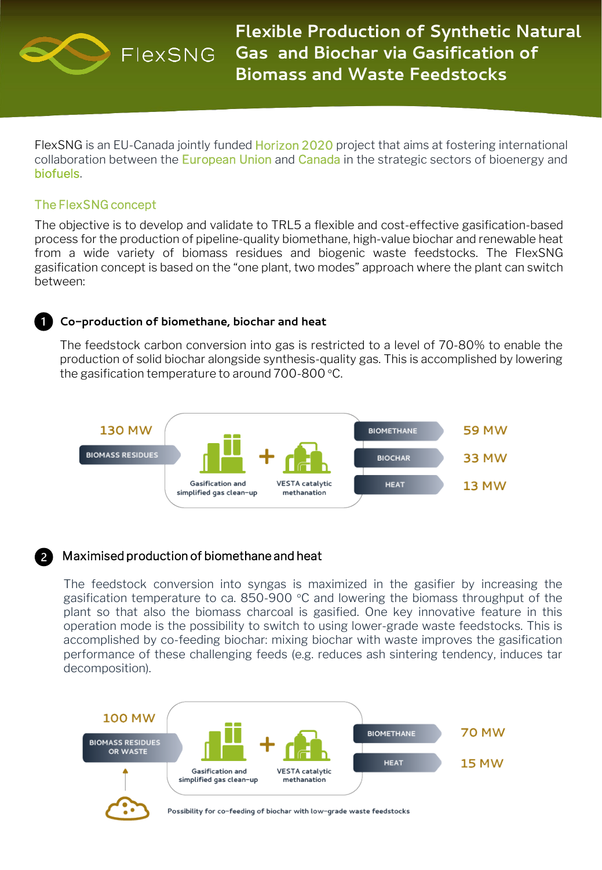

**Flexible Production of Synthetic Natural Gas and Biochar via Gasification of Biomass and Waste Feedstocks**

FlexSNG is an EU-Canada jointly funded **Horizon 2020** project that aims at fostering international collaboration between the European Union and Canada in the strategic sectors of bioenergy and biofuels.

### The FlexSNG concept

The objective is to develop and validate to TRL5 a flexible and cost-effective gasification-based process for the production of pipeline-quality biomethane, high-value biochar and renewable heat from a wide variety of biomass residues and biogenic waste feedstocks. The FlexSNG gasification concept is based on the "one plant, two modes" approach where the plant can switch between:

#### **Co-production of biomethane, biochar and heat**

The feedstock carbon conversion into gas is restricted to a level of 70-80% to enable the production of solid biochar alongside synthesis-quality gas. This is accomplished by lowering the gasification temperature to around 700-800 °C.



# Maximised production of biomethane and heat

The feedstock conversion into syngas is maximized in the gasifier by increasing the gasification temperature to ca. 850-900 °C and lowering the biomass throughput of the plant so that also the biomass charcoal is gasified. One key innovative feature in this operation mode is the possibility to switch to using lower-grade waste feedstocks. This is accomplished by co-feeding biochar: mixing biochar with waste improves the gasification performance of these challenging feeds (e.g. reduces ash sintering tendency, induces tar decomposition).